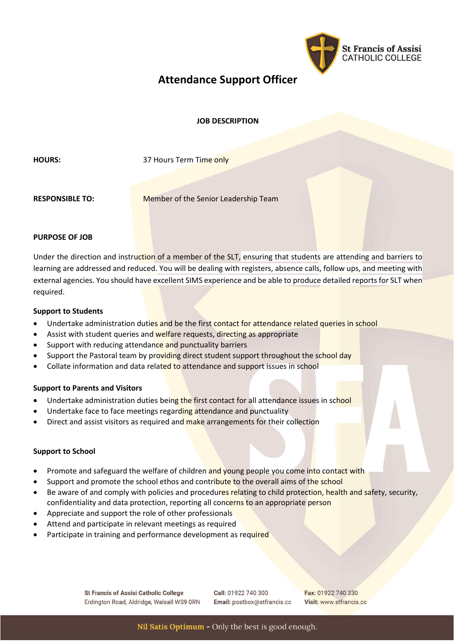

# **Attendance Support Officer**

# **JOB DESCRIPTION**

**HOURS:** 37 Hours Term Time only

**RESPONSIBLE TO:** Member of the Senior Leadership Team

# **PURPOSE OF JOB**

Under the direction and instruction of a member of the SLT, ensuring that students are attending and barriers to learning are addressed and reduced. You will be dealing with registers, absence calls, follow ups, and meeting with external agencies. You should have excellent SIMS experience and be able to produce detailed reports for SLT when required.

#### **Support to Students**

- Undertake administration duties and be the first contact for attendance related queries in school
- Assist with student queries and welfare requests, directing as appropriate
- Support with reducing attendance and punctuality barriers
- Support the Pastoral team by providing direct student support throughout the school day
- Collate information and data related to attendance and support issues in school

# **Support to Parents and Visitors**

- Undertake administration duties being the first contact for all attendance issues in school
- Undertake face to face meetings regarding attendance and punctuality
- Direct and assist visitors as required and make arrangements for their collection

# **Support to School**

- Promote and safeguard the welfare of children and young people you come into contact with
- Support and promote the school ethos and contribute to the overall aims of the school
- Be aware of and comply with policies and procedures relating to child protection, health and safety, security, confidentiality and data protection, reporting all concerns to an appropriate person
- Appreciate and support the role of other professionals
- Attend and participate in relevant meetings as required
- Participate in training and performance development as required

**St Francis of Assisi Catholic College** Erdington Road, Aldridge, Walsall WS9 ORN Call: 01922 740 300 Email: postbox@stfrancis.cc Fax: 01922 740 330 Visit: www.stfrancis.cc